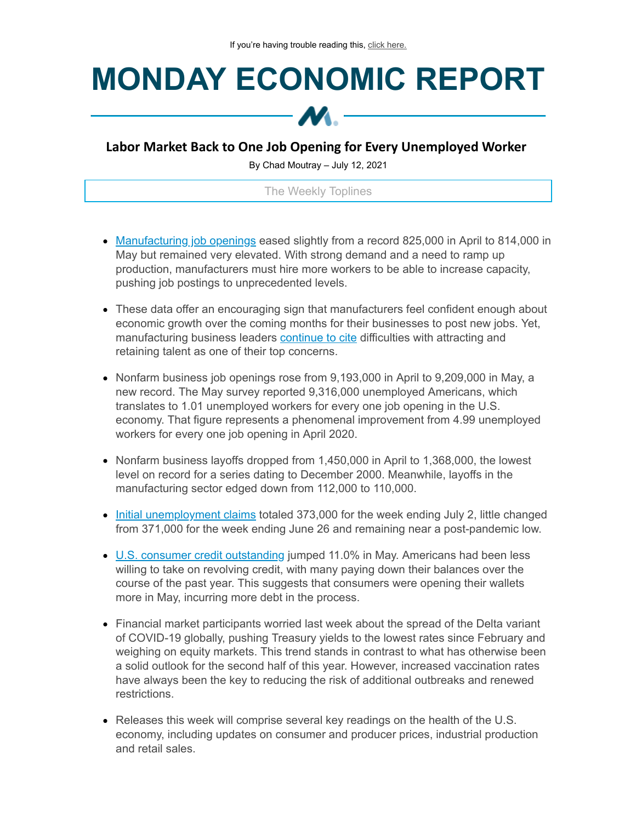## **MONDAY ECONOMIC REPORT**



## **Labor Market Back to One Job Opening for Every Unemployed Worker**

By Chad Moutray – July 12, 2021

The Weekly Toplines

- [Manufacturing](https://click.email.nam.org/?qs=d533a62bd2f69ab6a8a28ed540496816351db72abdd7c3beda600989a4332173153a3517145fa925b027aa1fe65de7f8aad56e27aaca3d05a4aff02ae4f1b4c3) job openings eased slightly from a record 825,000 in April to 814,000 in May but remained very elevated. With strong demand and a need to ramp up production, manufacturers must hire more workers to be able to increase capacity, pushing job postings to unprecedented levels.
- These data offer an encouraging sign that manufacturers feel confident enough about economic growth over the coming months for their businesses to post new jobs. Yet, manufacturing business leaders [continue](https://click.email.nam.org/?qs=d533a62bd2f69ab649add222b52e6955f54ce01d3e14b8f302cb129a2764a79cb854c6632e3df6753443016641bafaeeccb3729e5ec4f2405c0f21fbac08bce4) to cite difficulties with attracting and retaining talent as one of their top concerns.
- Nonfarm business job openings rose from 9,193,000 in April to 9,209,000 in May, a new record. The May survey reported 9,316,000 unemployed Americans, which translates to 1.01 unemployed workers for every one job opening in the U.S. economy. That figure represents a phenomenal improvement from 4.99 unemployed workers for every one job opening in April 2020.
- Nonfarm business layoffs dropped from  $1,450,000$  in April to  $1,368,000$ , the lowest level on record for a series dating to December 2000. Meanwhile, layoffs in the manufacturing sector edged down from 112,000 to 110,000.
- Initial [unemployment](https://click.email.nam.org/?qs=d533a62bd2f69ab6ff77b4a61418447084ee48abe1bdaf142abc2f83d47ca7de241ae02a5a8f3b62278546234800a4b801a8fd6e1463faf480b277ab41fb3823) claims totaled 373,000 for the week ending July 2, little changed from 371,000 for the week ending June 26 and remaining near a post-pandemic low.
- U.S. consumer credit [outstanding](https://click.email.nam.org/?qs=d533a62bd2f69ab600fe6a8ab362a6da08f58f2b0d2c2ec143e48294ce49ce7d9854644ba30c94315ec3f6f685322b4a1c3e5a8767cb1bcfa1be0639abd699a9) jumped 11.0% in May. Americans had been less willing to take on revolving credit, with many paying down their balances over the course of the past year. This suggests that consumers were opening their wallets more in May, incurring more debt in the process.
- Financial market participants worried last week about the spread of the Delta variant of COVID-19 globally, pushing Treasury yields to the lowest rates since February and weighing on equity markets. This trend stands in contrast to what has otherwise been a solid outlook for the second half of this year. However, increased vaccination rates have always been the key to reducing the risk of additional outbreaks and renewed restrictions.
- Releases this week will comprise several key readings on the health of the U.S. economy, including updates on consumer and producer prices, industrial production and retail sales.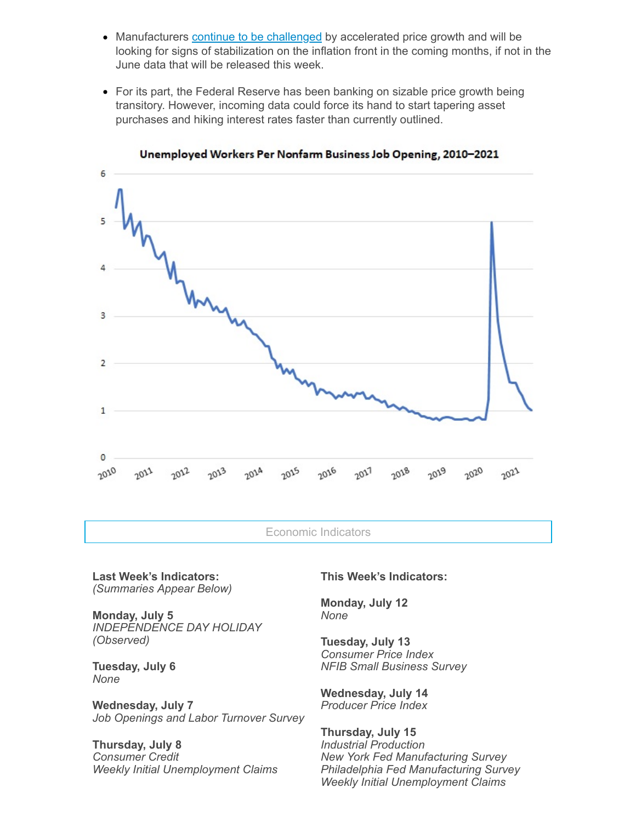- Manufacturers continue to be [challenged](https://click.email.nam.org/?qs=d533a62bd2f69ab649add222b52e6955f54ce01d3e14b8f302cb129a2764a79cb854c6632e3df6753443016641bafaeeccb3729e5ec4f2405c0f21fbac08bce4) by accelerated price growth and will be looking for signs of stabilization on the inflation front in the coming months, if not in the June data that will be released this week.
- For its part, the Federal Reserve has been banking on sizable price growth being transitory. However, incoming data could force its hand to start tapering asset purchases and hiking interest rates faster than currently outlined.



Unemployed Workers Per Nonfarm Business Job Opening, 2010-2021

Economic Indicators

**Last Week's Indicators:** *(Summaries Appear Below)*

**Monday, July 5** *INDEPENDENCE DAY HOLIDAY (Observed)*

**Tuesday, July 6** *None*

**Wednesday, July 7** *Job Openings and Labor Turnover Survey*

**Thursday, July 8** *Consumer Credit Weekly Initial Unemployment Claims*

## **This Week's Indicators:**

**Monday, July 12** *None*

**Tuesday, July 13** *Consumer Price Index NFIB Small Business Survey*

**Wednesday, July 14** *Producer Price Index*

**Thursday, July 15** *Industrial Production New York Fed Manufacturing Survey Philadelphia Fed Manufacturing Survey Weekly Initial Unemployment Claims*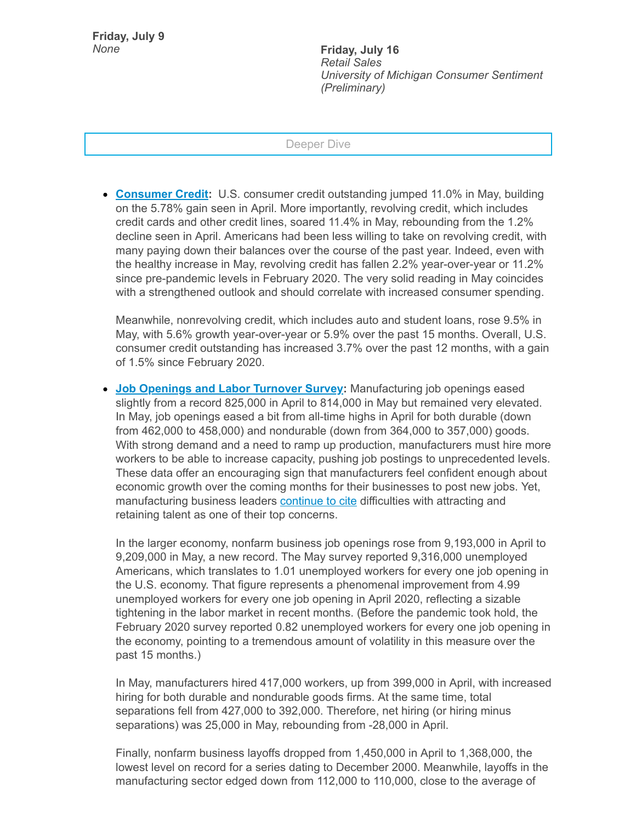**Friday, July 9**

*None* **Friday, July 16** *Retail Sales University of Michigan Consumer Sentiment (Preliminary)*

## Deeper Dive

**[Consumer](https://click.email.nam.org/?qs=d533a62bd2f69ab600fe6a8ab362a6da08f58f2b0d2c2ec143e48294ce49ce7d9854644ba30c94315ec3f6f685322b4a1c3e5a8767cb1bcfa1be0639abd699a9) Credit:** U.S. consumer credit outstanding jumped 11.0% in May, building on the 5.78% gain seen in April. More importantly, revolving credit, which includes credit cards and other credit lines, soared 11.4% in May, rebounding from the 1.2% decline seen in April. Americans had been less willing to take on revolving credit, with many paying down their balances over the course of the past year. Indeed, even with the healthy increase in May, revolving credit has fallen 2.2% year-over-year or 11.2% since pre-pandemic levels in February 2020. The very solid reading in May coincides with a strengthened outlook and should correlate with increased consumer spending.

Meanwhile, nonrevolving credit, which includes auto and student loans, rose 9.5% in May, with 5.6% growth year-over-year or 5.9% over the past 15 months. Overall, U.S. consumer credit outstanding has increased 3.7% over the past 12 months, with a gain of 1.5% since February 2020.

**Job [Openings](https://click.email.nam.org/?qs=d533a62bd2f69ab6a8a28ed540496816351db72abdd7c3beda600989a4332173153a3517145fa925b027aa1fe65de7f8aad56e27aaca3d05a4aff02ae4f1b4c3) and Labor Turnover Survey:** Manufacturing job openings eased slightly from a record 825,000 in April to 814,000 in May but remained very elevated. In May, job openings eased a bit from all-time highs in April for both durable (down from 462,000 to 458,000) and nondurable (down from 364,000 to 357,000) goods. With strong demand and a need to ramp up production, manufacturers must hire more workers to be able to increase capacity, pushing job postings to unprecedented levels. These data offer an encouraging sign that manufacturers feel confident enough about economic growth over the coming months for their businesses to post new jobs. Yet, manufacturing business leaders [continue](https://click.email.nam.org/?qs=d533a62bd2f69ab649add222b52e6955f54ce01d3e14b8f302cb129a2764a79cb854c6632e3df6753443016641bafaeeccb3729e5ec4f2405c0f21fbac08bce4) to cite difficulties with attracting and retaining talent as one of their top concerns.

In the larger economy, nonfarm business job openings rose from 9,193,000 in April to 9,209,000 in May, a new record. The May survey reported 9,316,000 unemployed Americans, which translates to 1.01 unemployed workers for every one job opening in the U.S. economy. That figure represents a phenomenal improvement from 4.99 unemployed workers for every one job opening in April 2020, reflecting a sizable tightening in the labor market in recent months. (Before the pandemic took hold, the February 2020 survey reported 0.82 unemployed workers for every one job opening in the economy, pointing to a tremendous amount of volatility in this measure over the past 15 months.)

In May, manufacturers hired 417,000 workers, up from 399,000 in April, with increased hiring for both durable and nondurable goods firms. At the same time, total separations fell from 427,000 to 392,000. Therefore, net hiring (or hiring minus separations) was 25,000 in May, rebounding from -28,000 in April.

Finally, nonfarm business layoffs dropped from 1,450,000 in April to 1,368,000, the lowest level on record for a series dating to December 2000. Meanwhile, layoffs in the manufacturing sector edged down from 112,000 to 110,000, close to the average of